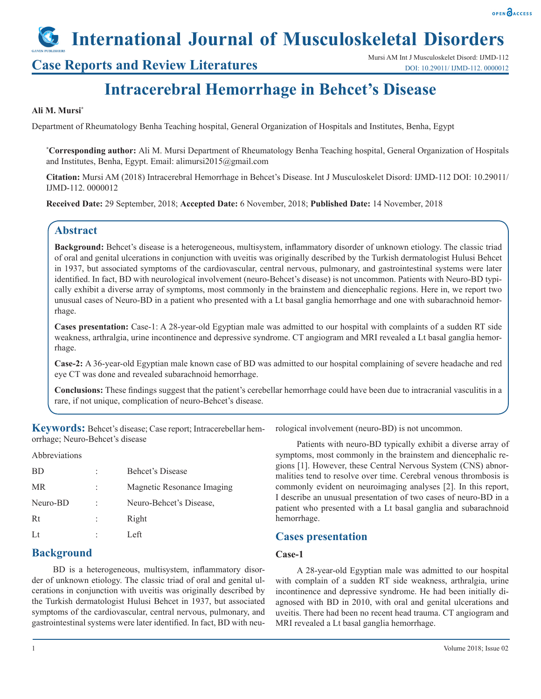#### OPEN OACCESS

# **International Journal of Musculoskeletal Disorders**

**Case Reports and Review Literatures**

## **Intracerebral Hemorrhage in Behcet's Disease**

#### **Ali M. Mursi\***

Department of Rheumatology Benha Teaching hospital, General Organization of Hospitals and Institutes, Benha, Egypt

**\* Corresponding author:** Ali M. Mursi Department of Rheumatology Benha Teaching hospital, General Organization of Hospitals and Institutes, Benha, Egypt. Email: alimursi2015@gmail.com

**Citation:** Mursi AM (2018) Intracerebral Hemorrhage in Behcet's Disease. Int J Musculoskelet Disord: IJMD-112 DOI: 10.29011/ IJMD-112. 0000012

**Received Date:** 29 September, 2018; **Accepted Date:** 6 November, 2018; **Published Date:** 14 November, 2018

## **Abstract**

**Background:** Behcet's disease is a heterogeneous, multisystem, inflammatory disorder of unknown etiology. The classic triad of oral and genital ulcerations in conjunction with uveitis was originally described by the Turkish dermatologist Hulusi Behcet in 1937, but associated symptoms of the cardiovascular, central nervous, pulmonary, and gastrointestinal systems were later identified. In fact, BD with neurological involvement (neuro-Behcet's disease) is not uncommon. Patients with Neuro-BD typically exhibit a diverse array of symptoms, most commonly in the brainstem and diencephalic regions. Here in, we report two unusual cases of Neuro-BD in a patient who presented with a Lt basal ganglia hemorrhage and one with subarachnoid hemorrhage.

**Cases presentation:** Case-1: A 28-year-old Egyptian male was admitted to our hospital with complaints of a sudden RT side weakness, arthralgia, urine incontinence and depressive syndrome. CT angiogram and MRI revealed a Lt basal ganglia hemorrhage.

**Case-2:** A 36-year-old Egyptian male known case of BD was admitted to our hospital complaining of severe headache and red eye CT was done and revealed subarachnoid hemorrhage.

**Conclusions:** These findings suggest that the patient's cerebellar hemorrhage could have been due to intracranial vasculitis in a rare, if not unique, complication of neuro-Behcet's disease.

**Keywords:** Behcet's disease; Case report; Intracerebellar hemorrhage; Neuro-Behcet's disease

Abbreviations

| <b>BD</b> | Behcet's Disease           |
|-----------|----------------------------|
| <b>MR</b> | Magnetic Resonance Imaging |
| Neuro-BD  | Neuro-Behcet's Disease,    |
| Rt        | Right                      |
| Lt        | Left.                      |

## **Background**

BD is a heterogeneous, multisystem, inflammatory disorder of unknown etiology. The classic triad of oral and genital ulcerations in conjunction with uveitis was originally described by the Turkish dermatologist Hulusi Behcet in 1937, but associated symptoms of the cardiovascular, central nervous, pulmonary, and gastrointestinal systems were later identified. In fact, BD with neurological involvement (neuro-BD) is not uncommon.

Patients with neuro-BD typically exhibit a diverse array of symptoms, most commonly in the brainstem and diencephalic regions [1]. However, these Central Nervous System (CNS) abnormalities tend to resolve over time. Cerebral venous thrombosis is commonly evident on neuroimaging analyses [2]. In this report, I describe an unusual presentation of two cases of neuro-BD in a patient who presented with a Lt basal ganglia and subarachnoid hemorrhage.

### **Cases presentation**

#### **Case-1**

A 28-year-old Egyptian male was admitted to our hospital with complain of a sudden RT side weakness, arthralgia, urine incontinence and depressive syndrome. He had been initially diagnosed with BD in 2010, with oral and genital ulcerations and uveitis. There had been no recent head trauma. CT angiogram and MRI revealed a Lt basal ganglia hemorrhage.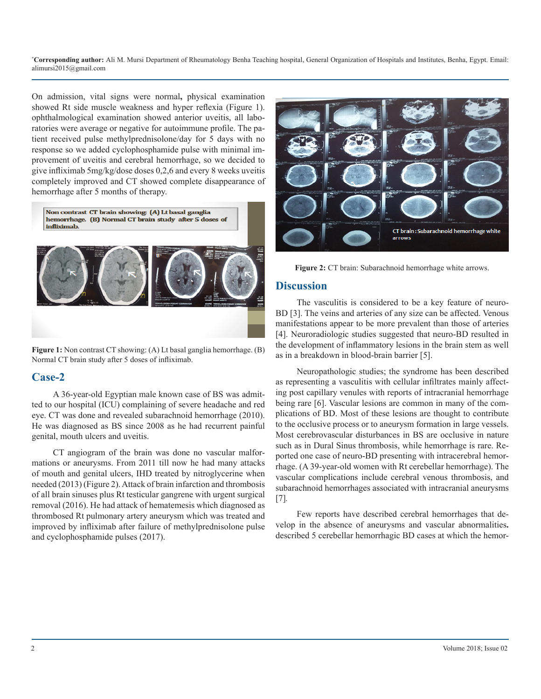**\* Corresponding author:** Ali M. Mursi Department of Rheumatology Benha Teaching hospital, General Organization of Hospitals and Institutes, Benha, Egypt. Email: alimursi2015@gmail.com

On admission, vital signs were normal**,** physical examination showed Rt side muscle weakness and hyper reflexia (Figure 1). ophthalmological examination showed anterior uveitis, all laboratories were average or negative for autoimmune profile. The patient received pulse methylprednisolone/day for 5 days with no response so we added cyclophosphamide pulse with minimal improvement of uveitis and cerebral hemorrhage, so we decided to give infliximab 5mg/kg/dose doses 0,2,6 and every 8 weeks uveitis completely improved and CT showed complete disappearance of hemorrhage after 5 months of therapy.



**Figure 1:** Non contrast CT showing: (A) Lt basal ganglia hemorrhage. (B) Normal CT brain study after 5 doses of infliximab.

## **Case-2**

A 36-year-old Egyptian male known case of BS was admitted to our hospital (ICU) complaining of severe headache and red eye. CT was done and revealed subarachnoid hemorrhage (2010). He was diagnosed as BS since 2008 as he had recurrent painful genital, mouth ulcers and uveitis.

CT angiogram of the brain was done no vascular malformations or aneurysms. From 2011 till now he had many attacks of mouth and genital ulcers, IHD treated by nitroglycerine when needed (2013) (Figure 2). Attack of brain infarction and thrombosis of all brain sinuses plus Rt testicular gangrene with urgent surgical removal (2016). He had attack of hematemesis which diagnosed as thrombosed Rt pulmonary artery aneurysm which was treated and improved by infliximab after failure of methylprednisolone pulse and cyclophosphamide pulses (2017).



**Figure 2:** CT brain: Subarachnoid hemorrhage white arrows.

## **Discussion**

The vasculitis is considered to be a key feature of neuro-BD [3]. The veins and arteries of any size can be affected. Venous manifestations appear to be more prevalent than those of arteries [4]. Neuroradiologic studies suggested that neuro-BD resulted in the development of inflammatory lesions in the brain stem as well as in a breakdown in blood-brain barrier [5].

Neuropathologic studies; the syndrome has been described as representing a vasculitis with cellular infiltrates mainly affecting post capillary venules with reports of intracranial hemorrhage being rare [6]. Vascular lesions are common in many of the complications of BD. Most of these lesions are thought to contribute to the occlusive process or to aneurysm formation in large vessels. Most cerebrovascular disturbances in BS are occlusive in nature such as in Dural Sinus thrombosis, while hemorrhage is rare. Reported one case of neuro-BD presenting with intracerebral hemorrhage. (A 39-year-old women with Rt cerebellar hemorrhage). The vascular complications include cerebral venous thrombosis, and subarachnoid hemorrhages associated with intracranial aneurysms [7]*.*

Few reports have described cerebral hemorrhages that develop in the absence of aneurysms and vascular abnormalities**.**  described 5 cerebellar hemorrhagic BD cases at which the hemor-